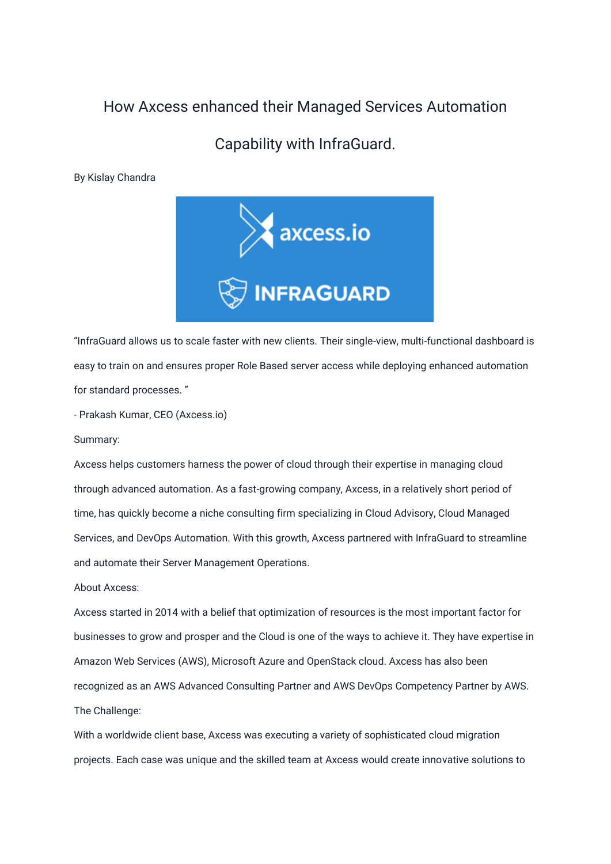## How Axcess enhanced their Managed Services Automation

## Capability with InfraGuard.

By Kislay Chandra



"InfraGuard allows us to scale faster with new clients. Their single-view, multi-functional dashboard is easy to train on and ensures proper Role Based server access while deploying enhanced automation for standard processes. "

- Prakash Kumar, CEO (Axcess.io)

Summary:

Axcess helps customers harness the power of cloud through their expertise in managing cloud through advanced automation. As a fast-growing company, Axcess, in a relatively short period of time, has quickly become a niche consulting firm specializing in Cloud Advisory, Cloud Managed Services, and DevOps Automation. With this growth, Axcess partnered with InfraGuard to streamline and automate their Server Management Operations.

About Axcess:

Axcess started in 2014 with a belief that optimization of resources is the most important factor for businesses to grow and prosper and the Cloud is one of the ways to achieve it. They have expertise in Amazon Web Services (AWS), Microsoft Azure and OpenStack cloud. Axcess has also been recognized as an AWS Advanced Consulting Partner and AWS DevOps Competency Partner by AWS. The Challenge:

With a worldwide client base, Axcess was executing a variety of sophisticated cloud migration projects. Each case was unique and the skilled team at Axcess would create innovative solutions to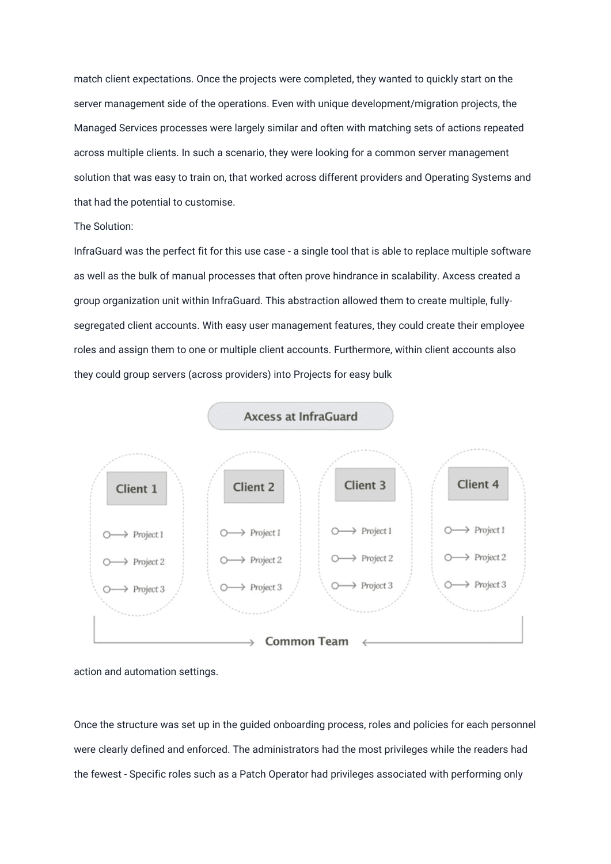match client expectations. Once the projects were completed, they wanted to quickly start on the server management side of the operations. Even with unique development/migration projects, the Managed Services processes were largely similar and often with matching sets of actions repeated across multiple clients. In such a scenario, they were looking for a common server management solution that was easy to train on, that worked across different providers and Operating Systems and that had the potential to customise.

## The Solution:

InfraGuard was the perfect fit for this use case - a single tool that is able to replace multiple software as well as the bulk of manual processes that often prove hindrance in scalability. Axcess created a group organization unit within InfraGuard. This abstraction allowed them to create multiple, fullysegregated client accounts. With easy user management features, they could create their employee roles and assign them to one or multiple client accounts. Furthermore, within client accounts also they could group servers (across providers) into Projects for easy bulk



action and automation settings.

Once the structure was set up in the guided onboarding process, roles and policies for each personnel were clearly defined and enforced. The administrators had the most privileges while the readers had the fewest - Specific roles such as a Patch Operator had privileges associated with performing only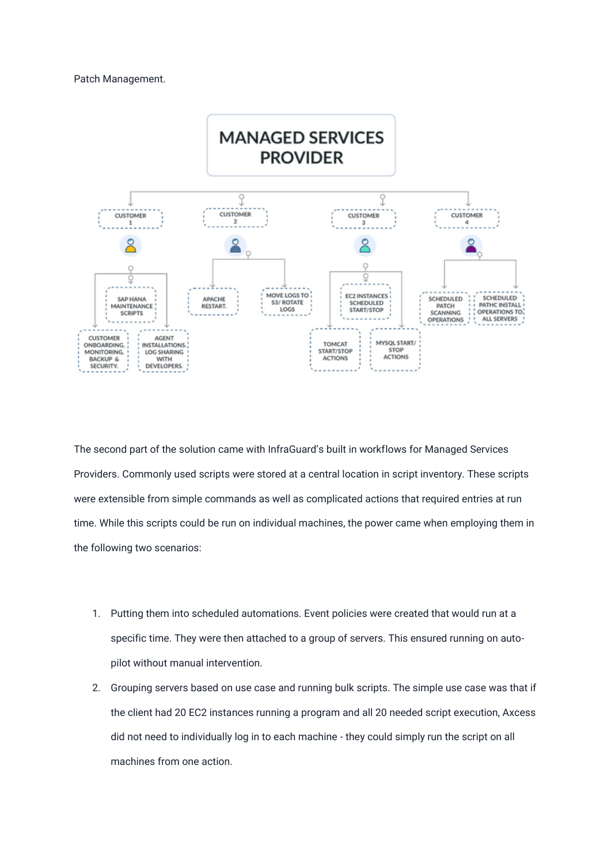## Patch Management.



The second part of the solution came with InfraGuard's built in workflows for Managed Services Providers. Commonly used scripts were stored at a central location in script inventory. These scripts were extensible from simple commands as well as complicated actions that required entries at run time. While this scripts could be run on individual machines, the power came when employing them in the following two scenarios:

- 1. Putting them into scheduled automations. Event policies were created that would run at a specific time. They were then attached to a group of servers. This ensured running on autopilot without manual intervention.
- 2. Grouping servers based on use case and running bulk scripts. The simple use case was that if the client had 20 EC2 instances running a program and all 20 needed script execution, Axcess did not need to individually log in to each machine - they could simply run the script on all machines from one action.